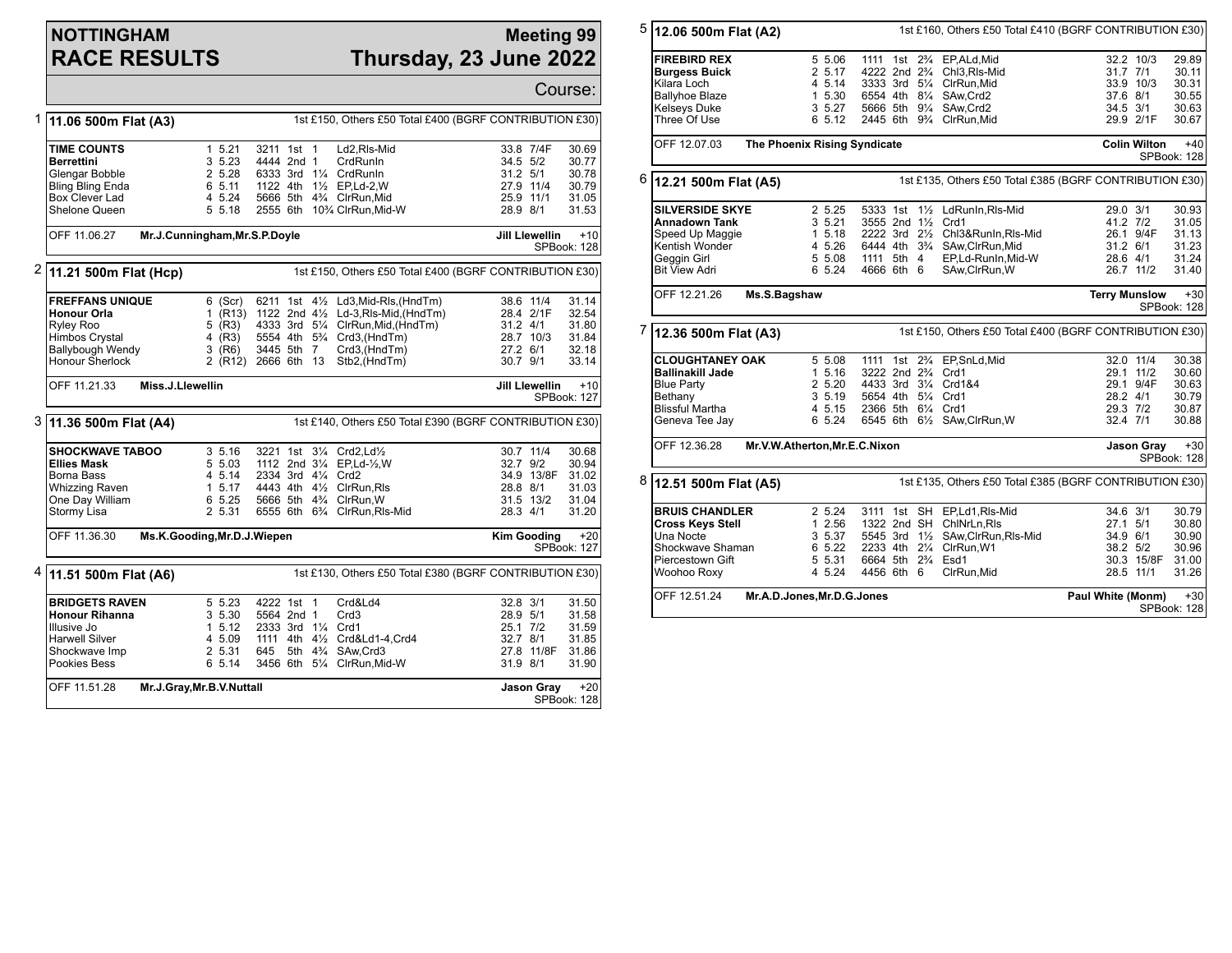## **NOTTINGHAM RACE RESULTS**

## **Meeting 99 Thursday, 23 June 2022**

|   |                                                                                               |                                                                                 |                     |                    |  |                                   |                                                      |              |                                               | Course:              |  |  |
|---|-----------------------------------------------------------------------------------------------|---------------------------------------------------------------------------------|---------------------|--------------------|--|-----------------------------------|------------------------------------------------------|--------------|-----------------------------------------------|----------------------|--|--|
| 1 |                                                                                               | 1st £150, Others £50 Total £400 (BGRF CONTRIBUTION £30)<br>11.06 500m Flat (A3) |                     |                    |  |                                   |                                                      |              |                                               |                      |  |  |
|   | <b>TIME COUNTS</b>                                                                            |                                                                                 | 1 5.21              | 3211 1st 1         |  |                                   | Ld2,RIs-Mid                                          |              | 33.8 7/4F                                     | 30.69                |  |  |
|   | <b>Berrettini</b>                                                                             |                                                                                 | 3 5.23              | 4444 2nd 1         |  |                                   | <b>CrdRunIn</b>                                      | 34.5 5/2     |                                               | 30.77                |  |  |
|   | Glengar Bobble                                                                                |                                                                                 | 2 5.28              |                    |  |                                   | 6333 3rd 11/4 CrdRunIn                               | $31.2$ $5/1$ |                                               | 30.78                |  |  |
|   | Bling Bling Enda                                                                              |                                                                                 | 6 5.11              |                    |  |                                   | 1122 4th 11/2 EP.Ld-2.W                              | 27.9 11/4    |                                               | 30.79                |  |  |
|   | Box Clever Lad                                                                                |                                                                                 | 4 5.24              |                    |  |                                   | 5666 5th 43/4 ClrRun, Mid                            | 25.9 11/1    |                                               | 31.05                |  |  |
|   | Shelone Queen                                                                                 |                                                                                 | 5 5.18              |                    |  |                                   | 2555 6th 10% ClrRun, Mid-W                           | 28.9 8/1     |                                               | 31.53                |  |  |
|   | Mr.J.Cunningham, Mr.S.P.Doyle<br>OFF 11.06.27                                                 |                                                                                 |                     |                    |  |                                   |                                                      |              | <b>Jill Llewellin</b><br>$+10$<br>SPBook: 128 |                      |  |  |
|   | <sup>2</sup> 11.21 500m Flat (Hcp)<br>1st £150, Others £50 Total £400 (BGRF CONTRIBUTION £30) |                                                                                 |                     |                    |  |                                   |                                                      |              |                                               |                      |  |  |
|   | <b>FREFFANS UNIQUE</b>                                                                        |                                                                                 | 6 (Scr)             |                    |  |                                   | 6211 1st 41/2 Ld3, Mid-RIs, (HndTm)                  | 38.6 11/4    |                                               | 31.14                |  |  |
|   | Honour Orla                                                                                   |                                                                                 |                     |                    |  |                                   | 1 (R13) 1122 2nd 41/2 Ld-3, RIs-Mid, (HndTm)         |              | 28.4 2/1F                                     | 32.54                |  |  |
|   | <b>Ryley Roo</b>                                                                              |                                                                                 | 5 (R3)              |                    |  |                                   | 4333 3rd 51/4 ClrRun, Mid, (HndTm)                   | 31.2 4/1     |                                               | 31.80                |  |  |
|   | <b>Himbos Crystal</b>                                                                         |                                                                                 | 4 $(R3)$            |                    |  |                                   | 5554 4th 5 <sup>3</sup> / <sub>4</sub> Crd3, (HndTm) |              | 28.7 10/3                                     | 31.84                |  |  |
|   | Ballybough Wendy                                                                              |                                                                                 | $3$ (R6)            | 3445 5th 7         |  |                                   | Crd3,(HndTm)                                         | 27.2 6/1     |                                               | 32.18                |  |  |
|   | Honour Sherlock                                                                               |                                                                                 | 2 (R12) 2666 6th 13 |                    |  |                                   | Stb2, (HndTm)                                        | 30.7 9/1     |                                               | 33.14                |  |  |
|   | OFF 11.21.33                                                                                  | Miss.J.Llewellin                                                                |                     |                    |  |                                   |                                                      |              | <b>Jill Llewellin</b>                         | $+10$<br>SPBook: 127 |  |  |
|   | 3 11.36 500m Flat (A4)<br>1st £140, Others £50 Total £390 (BGRF CONTRIBUTION £30)             |                                                                                 |                     |                    |  |                                   |                                                      |              |                                               |                      |  |  |
|   | <b>SHOCKWAVE TABOO</b>                                                                        |                                                                                 | 3, 5.16             |                    |  |                                   | 3221 1st 31/4 Crd2, Ld1/2                            | 30.7 11/4    |                                               | 30.68                |  |  |
|   | <b>Ellies Mask</b>                                                                            |                                                                                 | 5 5.03              |                    |  |                                   | 1112 2nd 31/4 EP, Ld-1/2, W                          | 32.7 9/2     |                                               | 30.94                |  |  |
|   | Borna Bass                                                                                    |                                                                                 | 4 5.14              | 2334 3rd 41/4 Crd2 |  |                                   |                                                      |              | 34.9 13/8F                                    | 31.02                |  |  |
|   | <b>Whizzing Raven</b>                                                                         |                                                                                 | 1, 5.17             |                    |  |                                   | 4443 4th 41/2 ClrRun.RIs                             | 28.8 8/1     |                                               | 31.03                |  |  |
|   | One Day William                                                                               |                                                                                 | 6 5.25              |                    |  |                                   | 5666 5th 43/4 ClrRun, W                              |              | 31.5 13/2                                     | 31.04                |  |  |
|   | Stormy Lisa                                                                                   |                                                                                 | 2 5.31              |                    |  |                                   | 6555 6th 63/4 ClrRun, RIs-Mid                        | 28.3 4/1     |                                               | 31.20                |  |  |
|   | OFF 11.36.30                                                                                  | Ms.K.Gooding, Mr.D.J.Wiepen                                                     |                     |                    |  |                                   |                                                      |              | <b>Kim Gooding</b><br>$+20$<br>SPBook: 127    |                      |  |  |
|   | <sup>4</sup> 11.51 500m Flat (A6)<br>1st £130, Others £50 Total £380 (BGRF CONTRIBUTION £30)  |                                                                                 |                     |                    |  |                                   |                                                      |              |                                               |                      |  |  |
|   | <b>BRIDGETS RAVEN</b>                                                                         |                                                                                 | 5 5.23              | 4222 1st 1         |  |                                   | Crd&Ld4                                              | 32.8 3/1     |                                               | 31.50                |  |  |
|   | <b>Honour Rihanna</b>                                                                         |                                                                                 | 3 5.30              | 5564 2nd 1         |  |                                   | Crd <sub>3</sub>                                     | 28.9 5/1     |                                               | 31.58                |  |  |
|   | Illusive Jo                                                                                   |                                                                                 | 1, 5.12             | 2333 3rd 11/4 Crd1 |  |                                   |                                                      | 25.1 7/2     |                                               | 31.59                |  |  |
|   | <b>Harwell Silver</b>                                                                         |                                                                                 | 4 5.09              |                    |  |                                   | 1111 4th 41/ <sub>2</sub> Crd&Ld1-4, Crd4            | 32.7 8/1     |                                               | 31.85                |  |  |
|   | Shockwave Imp                                                                                 |                                                                                 | 2 5.31              | 645                |  | 5th 4 <sup>3</sup> / <sub>4</sub> | SAw.Crd3                                             |              | 27.8 11/8F                                    | 31.86                |  |  |
|   | Pookies Bess                                                                                  |                                                                                 | 6 5.14              |                    |  |                                   | 3456 6th 51/4 ClrRun, Mid-W                          | 31.9 8/1     |                                               | 31.90                |  |  |
|   | OFF 11.51.28<br>Mr.J.Gray, Mr.B.V.Nuttall                                                     |                                                                                 |                     |                    |  |                                   |                                                      |              | <b>Jason Gray</b>                             | $+20$<br>SPBook: 128 |  |  |

| 5                                                                                    | 12.06 500m Flat (A2)                         | 1st £160, Others £50 Total £410 (BGRF CONTRIBUTION £30) |                                 |                      |  |                                                         |                      |                   |                      |
|--------------------------------------------------------------------------------------|----------------------------------------------|---------------------------------------------------------|---------------------------------|----------------------|--|---------------------------------------------------------|----------------------|-------------------|----------------------|
|                                                                                      | <b>FIREBIRD REX</b>                          | 5 5.06                                                  |                                 |                      |  | 1111 1st 23/4 EP, ALd, Mid                              |                      | 32.2 10/3         | 29.89                |
|                                                                                      | <b>Burgess Buick</b>                         | 2 5.17                                                  |                                 |                      |  | 4222 2nd 2 <sup>3</sup> / <sub>4</sub> Chl3, RIs-Mid    | 31.7 7/1             |                   | 30.11                |
|                                                                                      | Kilara Loch                                  | 4 5.14                                                  |                                 |                      |  | 3333 3rd 51/4 ClrRun, Mid                               |                      | 33.9 10/3         | 30.31                |
|                                                                                      | Ballyhoe Blaze                               | 1 5.30                                                  |                                 |                      |  | 6554 4th 81/4 SAw.Crd2                                  | 37.6 8/1             |                   | 30.55                |
|                                                                                      | <b>Kelseys Duke</b>                          | $3\,5.27$                                               |                                 |                      |  | 5666 5th 91/4 SAw.Crd2                                  |                      | 34.5 3/1          | 30.63                |
|                                                                                      |                                              |                                                         |                                 |                      |  |                                                         |                      |                   |                      |
|                                                                                      | Three Of Use                                 | 6 5.12                                                  |                                 |                      |  | 2445 6th 93/4 ClrRun, Mid                               |                      | 29.9 2/1F         | 30.67                |
|                                                                                      | The Phoenix Rising Syndicate<br>OFF 12.07.03 |                                                         | <b>Colin Wilton</b>             | $+40$<br>SPBook: 128 |  |                                                         |                      |                   |                      |
| 6<br>1st £135, Others £50 Total £385 (BGRF CONTRIBUTION £30)<br>12.21 500m Flat (A5) |                                              |                                                         |                                 |                      |  |                                                         |                      |                   |                      |
|                                                                                      | <b>SILVERSIDE SKYE</b>                       | 2 5.25                                                  |                                 |                      |  | 5333 1st 11/2 LdRunIn, RIs-Mid                          | 29.0 3/1             |                   | 30.93                |
|                                                                                      | Annadown Tank                                | 35.21                                                   | 3555 2nd 11/2 Crd1              |                      |  |                                                         | 41.2 7/2             |                   | 31.05                |
|                                                                                      | Speed Up Maggie                              |                                                         | 1, 5.18                         |                      |  | 2222 3rd 21/2 Chl3&RunIn, RIs-Mid                       |                      | 26.1 9/4F         | 31.13                |
|                                                                                      | Kentish Wonder                               | 4 5.26                                                  |                                 |                      |  | 6444 4th 3 <sup>3</sup> / <sub>4</sub> SAw, ClrRun, Mid | 31.2 6/1             |                   | 31.23                |
|                                                                                      | Geggin Girl                                  |                                                         | 5 5.08 1111 5th 4               |                      |  | EP,Ld-RunIn,Mid-W                                       | 28.6 4/1             |                   | 31.24                |
|                                                                                      | <b>Bit View Adri</b>                         | 6 5.24                                                  | 4666 6th 6                      |                      |  | SAw, ClrRun, W                                          |                      | 26.7 11/2         | 31.40                |
|                                                                                      |                                              |                                                         |                                 |                      |  |                                                         |                      |                   |                      |
|                                                                                      | OFF 12.21.26                                 | Ms.S.Bagshaw                                            |                                 |                      |  |                                                         | <b>Terry Munslow</b> |                   | $+30$<br>SPBook: 128 |
| 7                                                                                    | 12.36 500m Flat (A3)                         |                                                         |                                 |                      |  | 1st £150, Others £50 Total £400 (BGRF CONTRIBUTION £30) |                      |                   |                      |
|                                                                                      | <b>CLOUGHTANEY OAK</b>                       | 5 5.08                                                  |                                 |                      |  | 1111 1st 23/4 EP, SnLd, Mid                             |                      | 32.0 11/4         | 30.38                |
|                                                                                      | <b>Ballinakill Jade</b>                      | 1, 5.16                                                 | 3222 2nd 2 <sup>3</sup> /4 Crd1 |                      |  |                                                         |                      | 29.1 11/2         | 30.60                |
|                                                                                      | <b>Blue Party</b>                            |                                                         | 2 5.20                          |                      |  | 4433 3rd 31/4 Crd1&4                                    |                      | 29.1 9/4F         | 30.63                |
|                                                                                      |                                              |                                                         |                                 |                      |  |                                                         |                      |                   |                      |
|                                                                                      |                                              |                                                         |                                 |                      |  |                                                         |                      |                   |                      |
|                                                                                      | Bethany                                      | 3, 5.19                                                 |                                 |                      |  | 5654 4th 51/4 Crd1                                      | 28.2 4/1             |                   | 30.79                |
|                                                                                      | <b>Blissful Martha</b><br>Geneva Tee Jay     | 4 5.15<br>6 5.24                                        | 2366 5th 61/4 Crd1              |                      |  | 6545 6th 61/2 SAw, ClrRun, W                            | 29.3 7/2<br>32.4 7/1 |                   | 30.87<br>30.88       |
|                                                                                      | OFF 12.36.28                                 | Mr.V.W.Atherton, Mr.E.C.Nixon                           |                                 |                      |  |                                                         |                      | <b>Jason Gray</b> | $+30$                |
|                                                                                      |                                              |                                                         |                                 |                      |  |                                                         |                      |                   |                      |
|                                                                                      | 12.51 500m Flat (A5)                         |                                                         |                                 |                      |  | 1st £135, Others £50 Total £385 (BGRF CONTRIBUTION £30) |                      |                   |                      |
| 8                                                                                    | <b>BRUIS CHANDLER</b>                        | 2 5.24                                                  |                                 |                      |  | 3111 1st SH EP,Ld1,Rls-Mid                              | 34.6 3/1             |                   | 30.79                |
|                                                                                      | <b>Cross Keys Stell</b>                      | 1 2.56                                                  |                                 |                      |  | 1322 2nd SH ChINrLn.Rls                                 | 27.1 5/1             |                   | SPBook: 128<br>30.80 |
|                                                                                      | Una Nocte                                    | 3 5.37                                                  |                                 |                      |  | 5545 3rd 11/2 SAw, ClrRun, RIs-Mid                      | 34.9 6/1             |                   | 30.90                |
|                                                                                      | Shockwave Shaman                             | 6 5.22                                                  |                                 |                      |  | 2233 4th 21/4 ClrRun, W1                                | 38.2 5/2             |                   | 30.96                |
|                                                                                      | Piercestown Gift                             |                                                         |                                 |                      |  | 6664 5th 234 Esd1                                       |                      | 30.3 15/8F        | 31.00                |
|                                                                                      | Woohoo Roxy                                  | 5 5.31<br>4 5.24                                        | 4456 6th 6                      |                      |  | CIrRun, Mid                                             |                      | 28.5 11/1         | 31.26                |